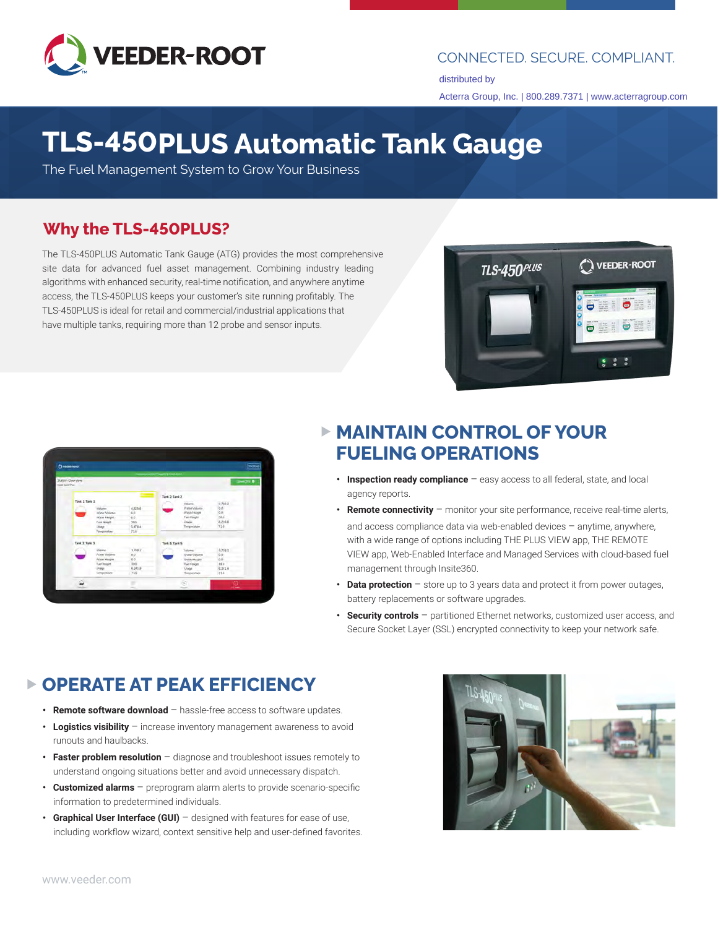

#### CONNECTED. SECURE. COMPLIANT.

distributed by Acterra Group, Inc. | 800.289.7371 | www.acterragroup.com

## **TLS-450PLUS Automatic Tank Gauge**

The Fuel Management System to Grow Your Business

#### **Why the TLS-450PLUS?**

The TLS-450PLUS Automatic Tank Gauge (ATG) provides the most comprehensive site data for advanced fuel asset management. Combining industry leading algorithms with enhanced security, real-time notification, and anywhere anytime access, the TLS-450PLUS keeps your customer's site running profitably. The TLS-450PLUS is ideal for retail and commercial/industrial applications that have multiple tanks, requiring more than 12 probe and sensor inputs.



| <b>D</b> visita look                        |                             |                  |                             |                            |                | <b>STATIONS</b>    |
|---------------------------------------------|-----------------------------|------------------|-----------------------------|----------------------------|----------------|--------------------|
|                                             |                             |                  | <b>CONTRACT DISTURBANCE</b> |                            |                |                    |
| Station Overview<br><b>Tiger Sales Play</b> |                             |                  |                             |                            |                | <b>CONNECTED B</b> |
|                                             |                             |                  |                             |                            |                |                    |
|                                             |                             | $0<\infty$       | Tank 2: Tank 2              |                            |                |                    |
| Tonk 1: Tank 1                              |                             |                  |                             | Voluntin.                  | 17802          |                    |
|                                             | <b>Volume</b>               | 43258            |                             | Wanter Attitude            | 0.6            |                    |
|                                             | Water Volume                | 60               |                             | Wali-Third                 | q.             |                    |
|                                             | Vices Height                | 0.0              |                             | Facil Hought               | 88K            |                    |
|                                             | Frank Height                | 386<br>5.478A    |                             | <b>User</b><br>Temperature | 8,235.5<br>718 |                    |
|                                             | Litinge<br>Temperature      | 716              |                             |                            |                |                    |
|                                             |                             |                  |                             |                            |                |                    |
| Tank S' Tank S                              |                             | Tank & Tank &    |                             |                            |                |                    |
|                                             | Mileana.                    | 17582            |                             | Values:                    | 4,758 1        |                    |
|                                             | Woter Volume                | 0.0              |                             | <b>Wyater Vietpares</b>    | $rac{60}{60}$  |                    |
|                                             | Water Height                | 00               |                             | <b>Vyate/ Plugee</b>       |                |                    |
|                                             | Fuar Hought                 | <b>DAR</b>       |                             | <b>Fuel Holghi</b>         | 186            |                    |
|                                             | <b>Unage</b><br>Tamparakare | 6.241.8-<br>71/6 |                             | Ulage                      | 6,321.0<br>718 |                    |
|                                             |                             |                  |                             | Tomporalian                |                |                    |
|                                             |                             |                  |                             | ø.                         | $\circ$        |                    |

### **MAINTAIN CONTROL OF YOUR FUELING OPERATIONS**

- **• Inspection ready compliance**  easy access to all federal, state, and local agency reports.
- **• Remote connectivity**  monitor your site performance, receive real-time alerts, and access compliance data via web-enabled devices – anytime, anywhere, with a wide range of options including THE PLUS VIEW app, THE REMOTE VIEW app, Web-Enabled Interface and Managed Services with cloud-based fuel management through Insite360.
- **Data protection** store up to 3 years data and protect it from power outages, battery replacements or software upgrades.
- **• Security controls**  partitioned Ethernet networks, customized user access, and Secure Socket Layer (SSL) encrypted connectivity to keep your network safe.

## **OPERATE AT PEAK EFFICIENCY**

- **• Remote software download**  hassle-free access to software updates.
- Logistics visibility increase inventory management awareness to avoid runouts and haulbacks.
- **• Faster problem resolution**  diagnose and troubleshoot issues remotely to understand ongoing situations better and avoid unnecessary dispatch.
- **• Customized alarms**  preprogram alarm alerts to provide scenario-specific information to predetermined individuals.
- **• Graphical User Interface (GUI)**  designed with features for ease of use, including workflow wizard, context sensitive help and user-defined favorites.

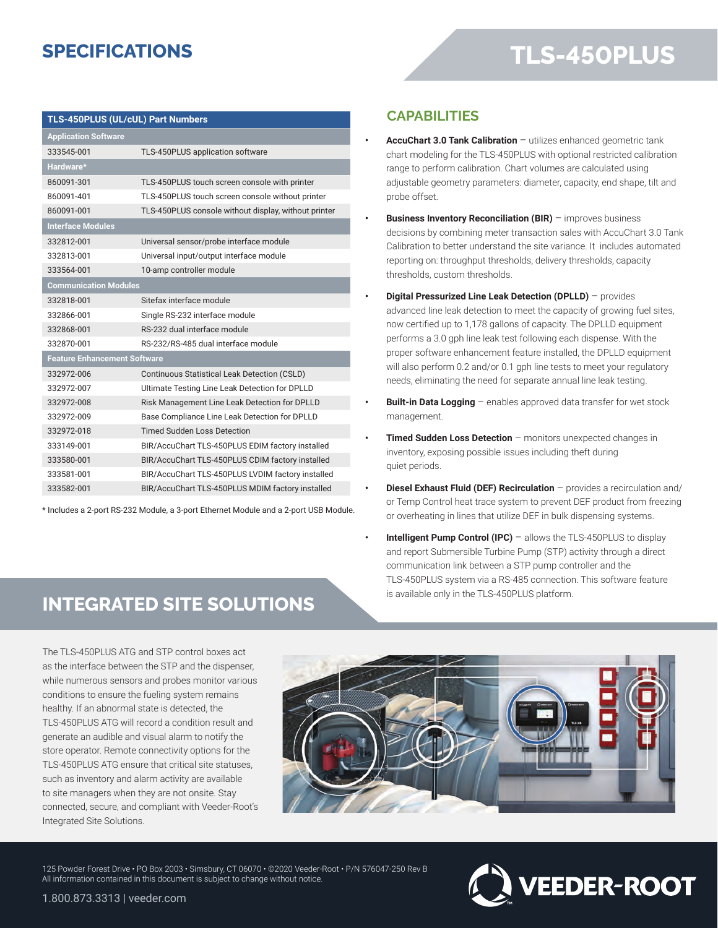## **SPECIFICATIONS**

#### **TLS-450PLUS (UL/cUL) Part Numbers**

| <b>Application Software</b>         |                                                      |  |  |  |
|-------------------------------------|------------------------------------------------------|--|--|--|
| 333545-001                          | TLS-450PLUS application software                     |  |  |  |
| Hardware*                           |                                                      |  |  |  |
| 860091-301                          | TLS-450PLUS touch screen console with printer        |  |  |  |
| 860091-401                          | TLS-450PLUS touch screen console without printer     |  |  |  |
| 860091-001                          | TLS-450PLUS console without display, without printer |  |  |  |
| <b>Interface Modules</b>            |                                                      |  |  |  |
| 332812-001                          | Universal sensor/probe interface module              |  |  |  |
| 332813-001                          | Universal input/output interface module              |  |  |  |
| 333564-001                          | 10-amp controller module                             |  |  |  |
| <b>Communication Modules</b>        |                                                      |  |  |  |
| 332818-001                          | Sitefax interface module                             |  |  |  |
| 332866-001                          | Single RS-232 interface module                       |  |  |  |
| 332868-001                          | RS-232 dual interface module                         |  |  |  |
| 332870-001                          | RS-232/RS-485 dual interface module                  |  |  |  |
| <b>Feature Enhancement Software</b> |                                                      |  |  |  |
| 332972-006                          | Continuous Statistical Leak Detection (CSLD)         |  |  |  |
| 332972-007                          | Ultimate Testing Line Leak Detection for DPLLD       |  |  |  |
| 332972-008                          | Risk Management Line Leak Detection for DPLLD        |  |  |  |
| 332972-009                          | Base Compliance Line Leak Detection for DPLLD        |  |  |  |
| 332972-018                          | <b>Timed Sudden Loss Detection</b>                   |  |  |  |
| 333149-001                          | BIR/AccuChart TLS-450PLUS EDIM factory installed     |  |  |  |
| 333580-001                          | BIR/AccuChart TLS-450PLUS CDIM factory installed     |  |  |  |
| 333581-001                          | BIR/AccuChart TLS-450PLUS LVDIM factory installed    |  |  |  |
| 333582-001                          | BIR/AccuChart TLS-450PLUS MDIM factory installed     |  |  |  |

\* Includes a 2-port RS-232 Module, a 3-port Ethernet Module and a 2-port USB Module.

#### **CAPABILITIES**

- **• AccuChart 3.0 Tank Calibration**  utilizes enhanced geometric tank chart modeling for the TLS-450PLUS with optional restricted calibration range to perform calibration. Chart volumes are calculated using adjustable geometry parameters: diameter, capacity, end shape, tilt and probe offset.
- **Business Inventory Reconciliation (BIR)** improves business decisions by combining meter transaction sales with AccuChart 3.0 Tank Calibration to better understand the site variance. It includes automated reporting on: throughput thresholds, delivery thresholds, capacity thresholds, custom thresholds.
- **• Digital Pressurized Line Leak Detection (DPLLD)**  provides advanced line leak detection to meet the capacity of growing fuel sites, now certified up to 1,178 gallons of capacity. The DPLLD equipment performs a 3.0 gph line leak test following each dispense. With the proper software enhancement feature installed, the DPLLD equipment will also perform 0.2 and/or 0.1 gph line tests to meet your regulatory needs, eliminating the need for separate annual line leak testing.
- **Built-in Data Logging** enables approved data transfer for wet stock management.
- **Timed Sudden Loss Detection** monitors unexpected changes in inventory, exposing possible issues including theft during quiet periods.
- **• Diesel Exhaust Fluid (DEF) Recirculation**  provides a recirculation and/ or Temp Control heat trace system to prevent DEF product from freezing or overheating in lines that utilize DEF in bulk dispensing systems.
- **Intelligent Pump Control (IPC)** allows the TLS-450PLUS to display and report Submersible Turbine Pump (STP) activity through a direct communication link between a STP pump controller and the TLS-450PLUS system via a RS-485 connection. This software feature is available only in the TLS-450PLUS platform.

## **INTEGRATED SITE SOLUTIONS**

The TLS-450PLUS ATG and STP control boxes act as the interface between the STP and the dispenser, while numerous sensors and probes monitor various conditions to ensure the fueling system remains healthy. If an abnormal state is detected, the TLS-450PLUS ATG will record a condition result and generate an audible and visual alarm to notify the store operator. Remote connectivity options for the TLS-450PLUS ATG ensure that critical site statuses, such as inventory and alarm activity are available to site managers when they are not onsite. Stay connected, secure, and compliant with Veeder-Root's Integrated Site Solutions.



125 Powder Forest Drive • PO Box 2003 • Simsbury, CT 06070 • ©2020 Veeder-Root • P/N 576047-250 Rev B All information contained in this document is subject to change without notice.

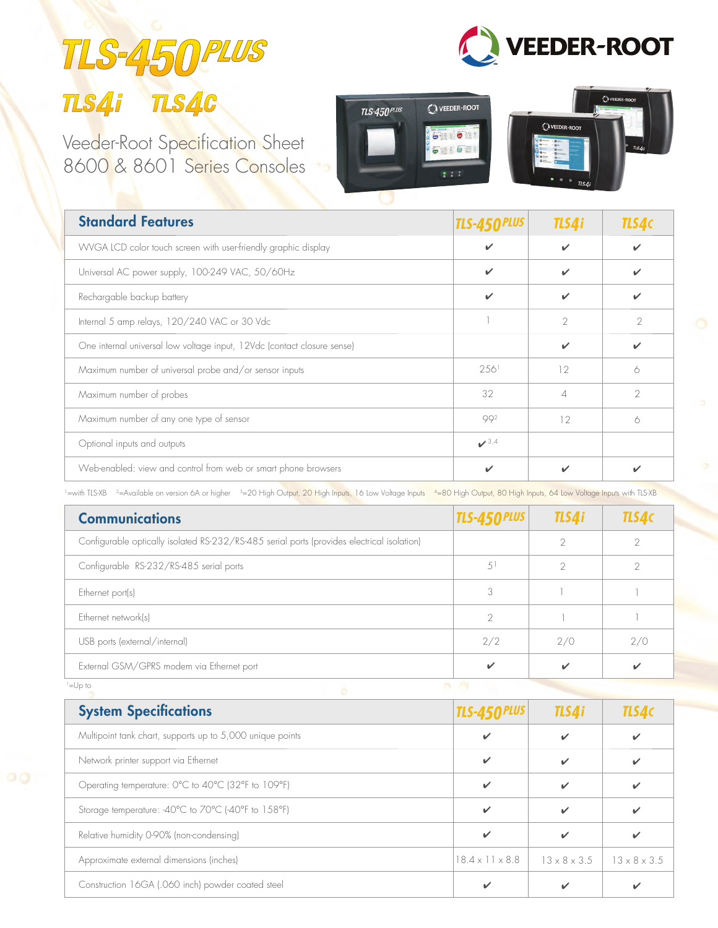# TLS-450 TLS4i TLS4C

Veeder-Root Specification Sheet 8600 & 8601 Series Consoles





**VEEDER-ROOT** 

| <b>Standard Features</b>                                                | <b>TLS-450 PLUS</b> | TLS4i         | TLS4c         |
|-------------------------------------------------------------------------|---------------------|---------------|---------------|
| WVGA LCD color touch screen with user-friendly graphic display          |                     |               |               |
| Universal AC power supply, 100-249 VAC, 50/60Hz                         |                     |               |               |
| Rechargable backup battery                                              |                     |               |               |
| Internal 5 amp relays, 120/240 VAC or 30 Vdc                            |                     | $\mathcal{P}$ | $\mathcal{P}$ |
| One internal universal low voltage input, 12Vdc (contact closure sense) |                     | ✓             | ✔             |
| Maximum number of universal probe and/or sensor inputs                  | 2.56 <sup>1</sup>   | 12            | 6             |
| Maximum number of probes                                                | 32                  | Δ             | $\mathcal{P}$ |
| Maximum number of any one type of sensor                                | 992                 | 12            | 6             |
| Optional inputs and outputs                                             | 3,4                 |               |               |
| Web-enabled: view and control from web or smart phone browsers          | ✔                   |               |               |

<sup>1</sup>=with TLS-XB <sup>2</sup>=Available on version 6A or higher <sup>3</sup>=20 High Output, 20 High Inputs, 16 Low Voltage Inputs <sup>4</sup>=80 High Output, 80 High Inputs, 64 Low Voltage Inputs with TLS-XB

| <b>Communications</b>                                                                      | <b>TLS-450 PLUS</b> | TLS4i         | <b>TLS4c</b>  |
|--------------------------------------------------------------------------------------------|---------------------|---------------|---------------|
| Configurable optically isolated RS-232/RS-485 serial ports (provides electrical isolation) |                     | $\mathcal{P}$ |               |
| Configurable RS-232/RS-485 serial ports                                                    | 51                  | $\mathcal{D}$ | $\mathcal{P}$ |
| Ethernet port(s)                                                                           | 3                   |               |               |
| Ethernet network(s)                                                                        | $\mathcal{P}$       |               |               |
| USB ports (external/internal)                                                              | 2/2                 | 2/0           | 2/0           |
| External GSM/GPRS modem via Ethernet port                                                  | ✓                   |               | ✔             |

1=Up to

**System Specifications** Multipoint tank chart, supports up to 5,000 unique points  $\triangledown$ Network printer support via Ethernet  $\overline{\smash{\checkmark}}$ Operating temperature: 0°C to 40°C (32°F to 109°F)  $\checkmark$   $\checkmark$   $\checkmark$ Storage temperature: -40°C to 70°C (-40°F to 158°F)  $\checkmark$   $\checkmark$   $\checkmark$   $\checkmark$ Relative humidity 0-90% (non-condensing) Approximate external dimensions (inches) Construction 16GA (.060 inch) powder coated steel  $\checkmark$   $\checkmark$ ✔ ✔ ✔ ✔ ✔ 18.4 x 11 x 8.8  $\checkmark$   $\checkmark$   $\checkmark$   $\checkmark$   $\checkmark$ *TLS-450PLUS TLS4i TLS4C*  $13 \times 8 \times 3.5$  13  $\times$  8  $\times$  3.5